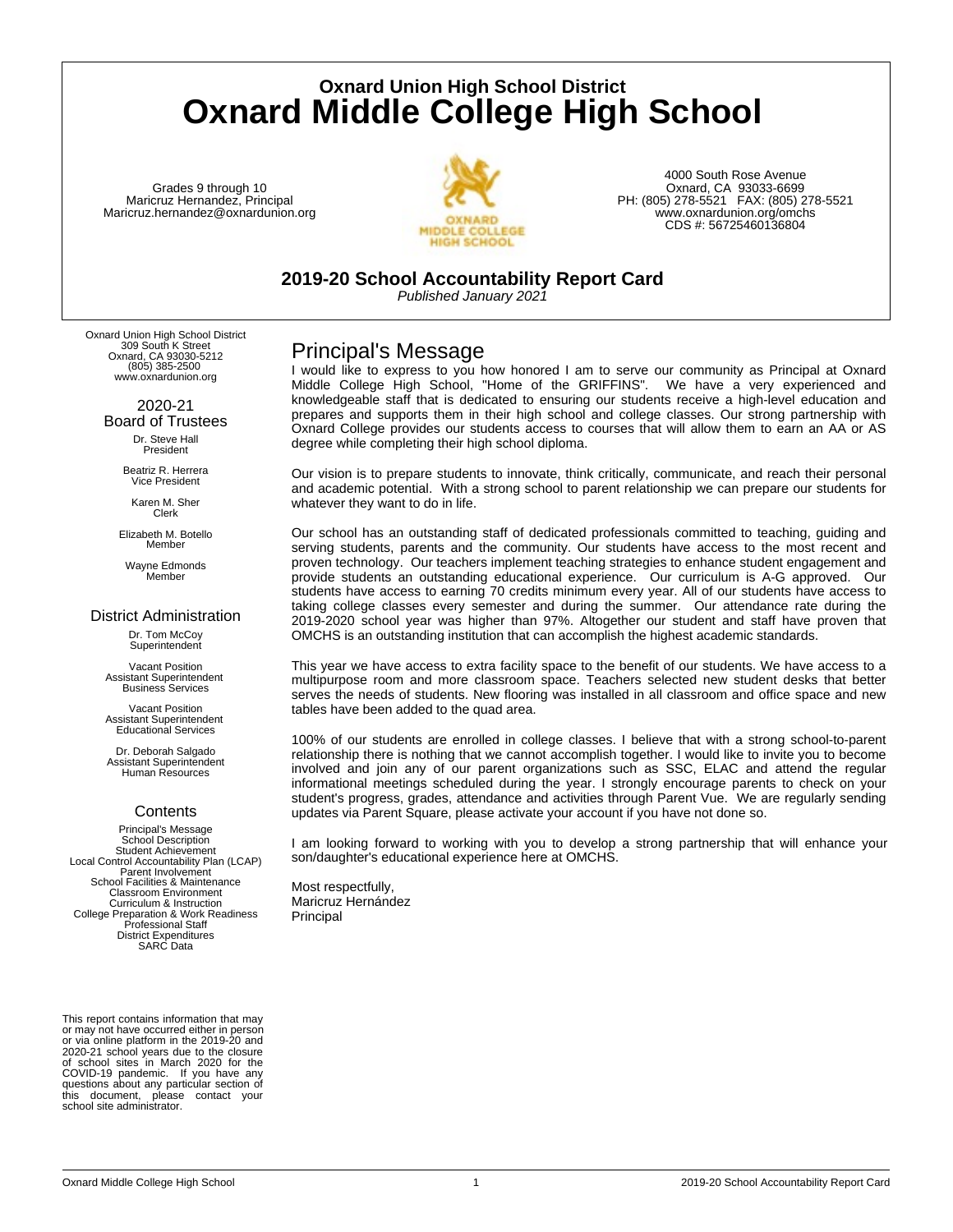**Oxnard Union High School District Oxnard Middle College High School**

Grades 9 through 10 Maricruz Hernandez, Principal Maricruz.hernandez@oxnardunion.org



4000 South Rose Avenue Oxnard, CA 93033-6699 PH: (805) 278-5521 FAX: (805) 278-5521 www.oxnardunion.org/omchs CDS #: 56725460136804

**2019-20 School Accountability Report Card**

*Published January 2021*

Oxnard Union High School District 309 South K Street Oxnard, CA 93030-5212 (805) 385-2500 www.oxnardunion.org

> 2020-21 Board of Trustees Dr. Steve Hall President

> > Beatriz R. Herrera Vice President

Karen M. Sher Clerk

Elizabeth M. Botello Member

Wayne Edmonds Member

#### District Administration

Dr. Tom McCoy **Superintendent** 

Vacant Position Assistant Superintendent Business Services

Vacant Position Assistant Superintendent Educational Services

Dr. Deborah Salgado Assistant Superintendent Human Resources

### **Contents**

Principal's Message School Description Student Achievement Local Control Accountability Plan (LCAP) Parent Involvement School Facilities & Maintenance Classroom Environment Curriculum & Instruction College Preparation & Work Readiness Professional Staff District Expenditures SARC Data

This report contains information that may or may not have occurred either in person or via online platform in the 2019-20 and 2020-21 school years due to the closure of school sites in March 2020 for the COVID-19 pandemic. If you have any questions about any particular section of this document, please contact your school site administrator.

## Principal's Message

I would like to express to you how honored I am to serve our community as Principal at Oxnard Middle College High School, "Home of the GRIFFINS". We have a very experienced and knowledgeable staff that is dedicated to ensuring our students receive a high-level education and prepares and supports them in their high school and college classes. Our strong partnership with Oxnard College provides our students access to courses that will allow them to earn an AA or AS degree while completing their high school diploma.

Our vision is to prepare students to innovate, think critically, communicate, and reach their personal and academic potential. With a strong school to parent relationship we can prepare our students for whatever they want to do in life.

Our school has an outstanding staff of dedicated professionals committed to teaching, guiding and serving students, parents and the community. Our students have access to the most recent and proven technology. Our teachers implement teaching strategies to enhance student engagement and provide students an outstanding educational experience. Our curriculum is A-G approved. Our students have access to earning 70 credits minimum every year. All of our students have access to taking college classes every semester and during the summer. Our attendance rate during the 2019-2020 school year was higher than 97%. Altogether our student and staff have proven that OMCHS is an outstanding institution that can accomplish the highest academic standards.

This year we have access to extra facility space to the benefit of our students. We have access to a multipurpose room and more classroom space. Teachers selected new student desks that better serves the needs of students. New flooring was installed in all classroom and office space and new tables have been added to the quad area.

100% of our students are enrolled in college classes. I believe that with a strong school-to-parent relationship there is nothing that we cannot accomplish together. I would like to invite you to become involved and join any of our parent organizations such as SSC, ELAC and attend the regular informational meetings scheduled during the year. I strongly encourage parents to check on your student's progress, grades, attendance and activities through Parent Vue. We are regularly sending updates via Parent Square, please activate your account if you have not done so.

I am looking forward to working with you to develop a strong partnership that will enhance your son/daughter's educational experience here at OMCHS.

Most respectfully, Maricruz Hernández Principal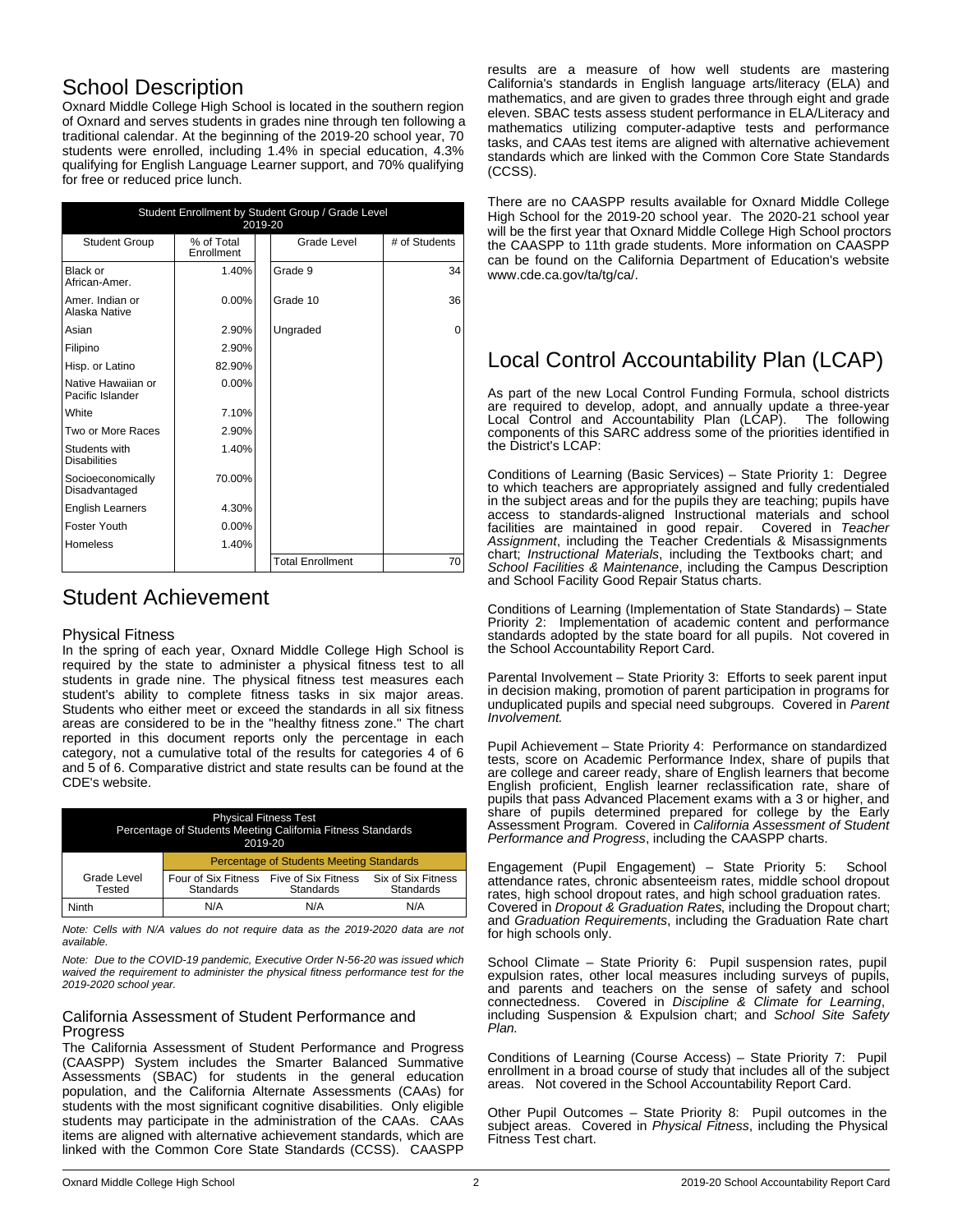## School Description

Oxnard Middle College High School is located in the southern region of Oxnard and serves students in grades nine through ten following a traditional calendar. At the beginning of the 2019-20 school year, 70 students were enrolled, including 1.4% in special education, 4.3% qualifying for English Language Learner support, and 70% qualifying for free or reduced price lunch.

| Student Enrollment by Student Group / Grade Level<br>2019-20 |                          |                         |               |
|--------------------------------------------------------------|--------------------------|-------------------------|---------------|
| <b>Student Group</b>                                         | % of Total<br>Enrollment | Grade Level             | # of Students |
| Black or<br>African-Amer.                                    | 1.40%                    | Grade 9                 | 34            |
| Amer. Indian or<br>Alaska Native                             | $0.00\%$                 | Grade 10                | 36            |
| Asian                                                        | 2.90%                    | Ungraded                | $\Omega$      |
| Filipino                                                     | 2.90%                    |                         |               |
| Hisp. or Latino                                              | 82.90%                   |                         |               |
| Native Hawaiian or<br>Pacific Islander                       | $0.00\%$                 |                         |               |
| White                                                        | 7.10%                    |                         |               |
| Two or More Races                                            | 2.90%                    |                         |               |
| Students with<br><b>Disabilities</b>                         | 1.40%                    |                         |               |
| Socioeconomically<br>Disadvantaged                           | 70.00%                   |                         |               |
| <b>English Learners</b>                                      | 4.30%                    |                         |               |
| Foster Youth                                                 | 0.00%                    |                         |               |
| <b>Homeless</b>                                              | 1.40%                    |                         |               |
|                                                              |                          | <b>Total Enrollment</b> | 70            |

## Student Achievement

#### Physical Fitness

In the spring of each year, Oxnard Middle College High School is required by the state to administer a physical fitness test to all students in grade nine. The physical fitness test measures each student's ability to complete fitness tasks in six major areas. Students who either meet or exceed the standards in all six fitness areas are considered to be in the "healthy fitness zone." The chart reported in this document reports only the percentage in each category, not a cumulative total of the results for categories 4 of 6 and 5 of 6. Comparative district and state results can be found at the CDE's website.

| <b>Physical Fitness Test</b><br>Percentage of Students Meeting California Fitness Standards<br>2019-20 |                                                 |                                  |                                 |
|--------------------------------------------------------------------------------------------------------|-------------------------------------------------|----------------------------------|---------------------------------|
|                                                                                                        | <b>Percentage of Students Meeting Standards</b> |                                  |                                 |
| Grade Level<br>Tested                                                                                  | Four of Six Fitness<br><b>Standards</b>         | Five of Six Fitness<br>Standards | Six of Six Fitness<br>Standards |
| Ninth                                                                                                  | N/A                                             | N/A                              | N/A                             |

*Note: Cells with N/A values do not require data as the 2019-2020 data are not available.*

*Note: Due to the COVID-19 pandemic, Executive Order N-56-20 was issued which waived the requirement to administer the physical fitness performance test for the 2019-2020 school year.*

### California Assessment of Student Performance and Progress

The California Assessment of Student Performance and Progress (CAASPP) System includes the Smarter Balanced Summative Assessments (SBAC) for students in the general education population, and the California Alternate Assessments (CAAs) for students with the most significant cognitive disabilities. Only eligible students may participate in the administration of the CAAs. CAAs items are aligned with alternative achievement standards, which are linked with the Common Core State Standards (CCSS). CAASPP

results are a measure of how well students are mastering California's standards in English language arts/literacy (ELA) and mathematics, and are given to grades three through eight and grade eleven. SBAC tests assess student performance in ELA/Literacy and mathematics utilizing computer-adaptive tests and performance tasks, and CAAs test items are aligned with alternative achievement standards which are linked with the Common Core State Standards (CCSS).

There are no CAASPP results available for Oxnard Middle College High School for the 2019-20 school year. The 2020-21 school year will be the first year that Oxnard Middle College High School proctors the CAASPP to 11th grade students. More information on CAASPP can be found on the California Department of Education's website www.cde.ca.gov/ta/tg/ca/.

## Local Control Accountability Plan (LCAP)

As part of the new Local Control Funding Formula, school districts are required to develop, adopt, and annually update a three-year<br>Local Control and Accountability Plan (LCAP). The following Local Control and Accountability Plan (LCAP). components of this SARC address some of the priorities identified in the District's LCAP:

Conditions of Learning (Basic Services) – State Priority 1: Degree to which teachers are appropriately assigned and fully credentialed in the subject areas and for the pupils they are teaching; pupils have access to standards-aligned Instructional materials and school facilities are maintained in good repair. Covered in *Teacher Assignment*, including the Teacher Credentials & Misassignments chart; *Instructional Materials*, including the Textbooks chart; and *School Facilities & Maintenance*, including the Campus Description and School Facility Good Repair Status charts.

Conditions of Learning (Implementation of State Standards) – State Priority 2: Implementation of academic content and performance standards adopted by the state board for all pupils. Not covered in the School Accountability Report Card.

Parental Involvement – State Priority 3: Efforts to seek parent input in decision making, promotion of parent participation in programs for unduplicated pupils and special need subgroups. Covered in *Parent Involvement.*

Pupil Achievement – State Priority 4: Performance on standardized tests, score on Academic Performance Index, share of pupils that are college and career ready, share of English learners that become English proficient, English learner reclassification rate, share of pupils that pass Advanced Placement exams with a 3 or higher, and share of pupils determined prepared for college by the Early Assessment Program. Covered in *California Assessment of Student Performance and Progress*, including the CAASPP charts.

Engagement (Pupil Engagement) – State Priority 5: School attendance rates, chronic absenteeism rates, middle school dropout rates, high school dropout rates, and high school graduation rates. Covered in *Dropout & Graduation Rates*, including the Dropout chart; and *Graduation Requirements*, including the Graduation Rate chart for high schools only.

School Climate – State Priority 6: Pupil suspension rates, pupil expulsion rates, other local measures including surveys of pupils, and parents and teachers on the sense of safety and school connectedness. Covered in *Discipline & Climate for Learning*, including Suspension & Expulsion chart; and *School Site Safety Plan.*

Conditions of Learning (Course Access) – State Priority 7: Pupil enrollment in a broad course of study that includes all of the subject areas. Not covered in the School Accountability Report Card.

Other Pupil Outcomes – State Priority 8: Pupil outcomes in the subject areas. Covered in *Physical Fitness*, including the Physical Fitness Test chart.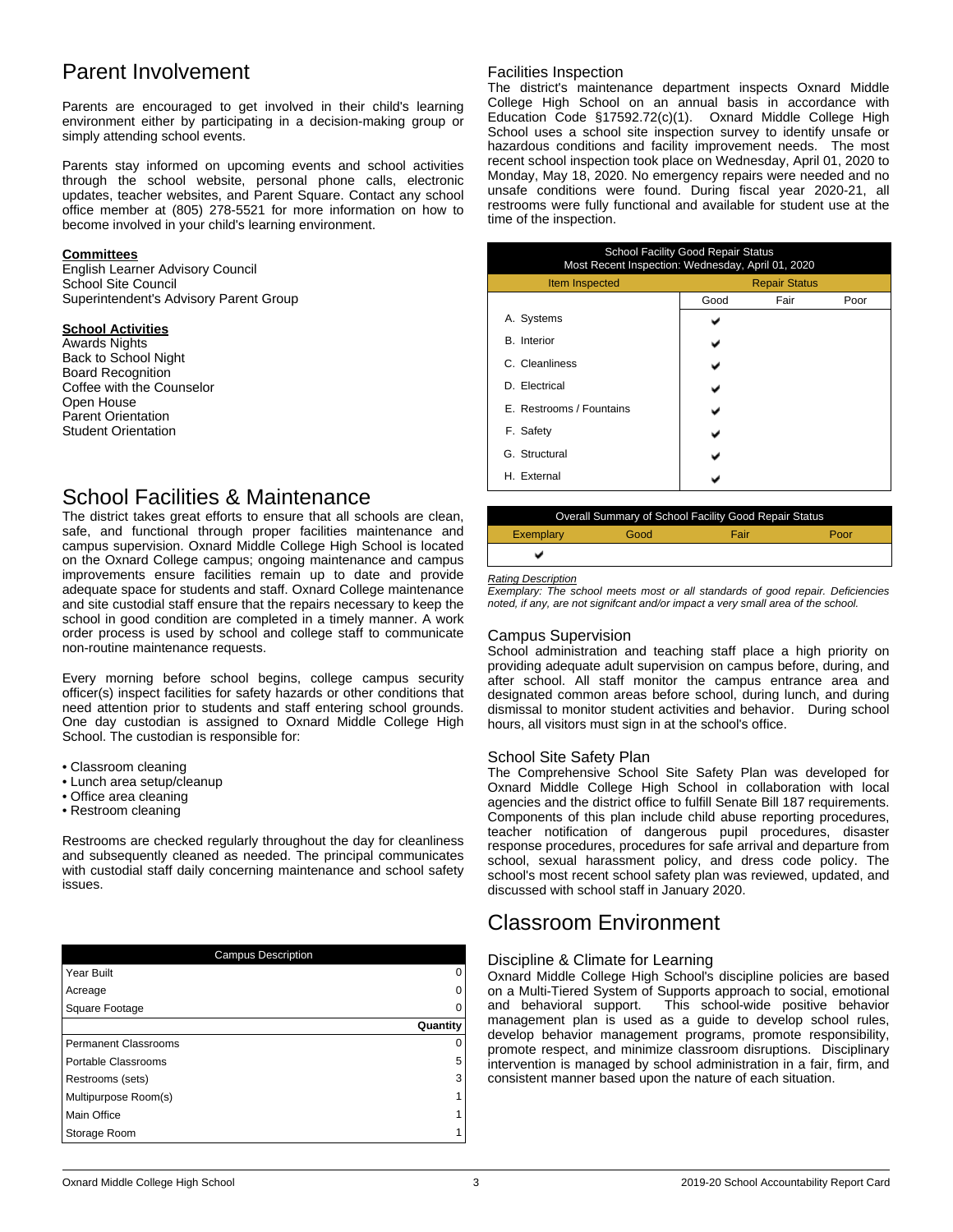## Parent Involvement

Parents are encouraged to get involved in their child's learning environment either by participating in a decision-making group or simply attending school events.

Parents stay informed on upcoming events and school activities through the school website, personal phone calls, electronic updates, teacher websites, and Parent Square. Contact any school office member at (805) 278-5521 for more information on how to become involved in your child's learning environment.

#### **Committees**

English Learner Advisory Council School Site Council Superintendent's Advisory Parent Group

#### **School Activities**

Awards Nights Back to School Night Board Recognition Coffee with the Counselor Open House Parent Orientation Student Orientation

## School Facilities & Maintenance

The district takes great efforts to ensure that all schools are clean, safe, and functional through proper facilities maintenance and campus supervision. Oxnard Middle College High School is located on the Oxnard College campus; ongoing maintenance and campus improvements ensure facilities remain up to date and provide adequate space for students and staff. Oxnard College maintenance and site custodial staff ensure that the repairs necessary to keep the school in good condition are completed in a timely manner. A work order process is used by school and college staff to communicate non-routine maintenance requests.

Every morning before school begins, college campus security officer(s) inspect facilities for safety hazards or other conditions that need attention prior to students and staff entering school grounds. One day custodian is assigned to Oxnard Middle College High School. The custodian is responsible for:

- Classroom cleaning
- Lunch area setup/cleanup
- Office area cleaning
- Restroom cleaning

Restrooms are checked regularly throughout the day for cleanliness and subsequently cleaned as needed. The principal communicates with custodial staff daily concerning maintenance and school safety issues.

| <b>Campus Description</b>   |          |
|-----------------------------|----------|
| Year Built                  |          |
| Acreage                     |          |
| Square Footage              |          |
|                             | Quantity |
| <b>Permanent Classrooms</b> |          |
| Portable Classrooms         | 5        |
| Restrooms (sets)            | 3        |
| Multipurpose Room(s)        |          |
| Main Office                 |          |
| Storage Room                |          |

#### Facilities Inspection

The district's maintenance department inspects Oxnard Middle College High School on an annual basis in accordance with Education Code §17592.72(c)(1). Oxnard Middle College High School uses a school site inspection survey to identify unsafe or hazardous conditions and facility improvement needs. The most recent school inspection took place on Wednesday, April 01, 2020 to Monday, May 18, 2020. No emergency repairs were needed and no unsafe conditions were found. During fiscal year 2020-21, all restrooms were fully functional and available for student use at the time of the inspection.

| <b>School Facility Good Repair Status</b><br>Most Recent Inspection: Wednesday, April 01, 2020 |                      |      |      |
|------------------------------------------------------------------------------------------------|----------------------|------|------|
| Item Inspected                                                                                 | <b>Repair Status</b> |      |      |
|                                                                                                | Good                 | Fair | Poor |
| A. Systems                                                                                     |                      |      |      |
| <b>B.</b> Interior                                                                             |                      |      |      |
| C. Cleanliness                                                                                 |                      |      |      |
| D. Electrical                                                                                  |                      |      |      |
| E. Restrooms / Fountains                                                                       |                      |      |      |
| F. Safety                                                                                      |                      |      |      |
| G. Structural                                                                                  |                      |      |      |
| H. External                                                                                    |                      |      |      |

|           |      | Overall Summary of School Facility Good Repair Status |      |
|-----------|------|-------------------------------------------------------|------|
| Exemplary | Good | Fair                                                  | Poor |
|           |      |                                                       |      |

#### *Rating Description*

*Exemplary: The school meets most or all standards of good repair. Deficiencies noted, if any, are not signifcant and/or impact a very small area of the school.*

#### Campus Supervision

School administration and teaching staff place a high priority on providing adequate adult supervision on campus before, during, and after school. All staff monitor the campus entrance area and designated common areas before school, during lunch, and during dismissal to monitor student activities and behavior. During school hours, all visitors must sign in at the school's office.

#### School Site Safety Plan

The Comprehensive School Site Safety Plan was developed for Oxnard Middle College High School in collaboration with local agencies and the district office to fulfill Senate Bill 187 requirements. Components of this plan include child abuse reporting procedures, teacher notification of dangerous pupil procedures, disaster response procedures, procedures for safe arrival and departure from school, sexual harassment policy, and dress code policy. The school's most recent school safety plan was reviewed, updated, and discussed with school staff in January 2020.

## Classroom Environment

#### Discipline & Climate for Learning

Oxnard Middle College High School's discipline policies are based on a Multi-Tiered System of Supports approach to social, emotional and behavioral support. This school-wide positive behavior management plan is used as a guide to develop school rules, develop behavior management programs, promote responsibility, promote respect, and minimize classroom disruptions. Disciplinary intervention is managed by school administration in a fair, firm, and consistent manner based upon the nature of each situation.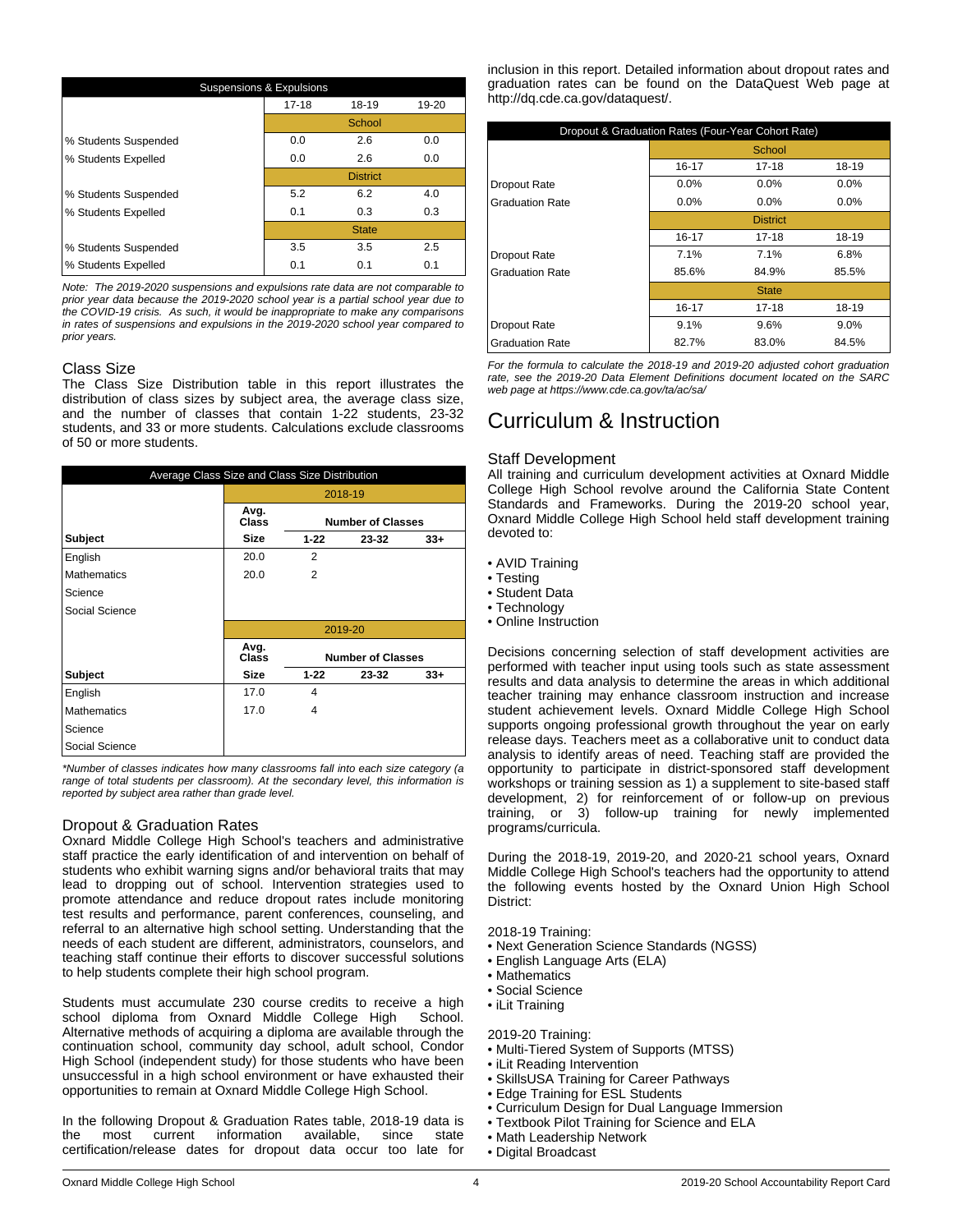| <b>Suspensions &amp; Expulsions</b> |           |                 |       |  |
|-------------------------------------|-----------|-----------------|-------|--|
|                                     | $17 - 18$ | 18-19           | 19-20 |  |
|                                     |           | School          |       |  |
| % Students Suspended                | 0.0       | 2.6             | 0.0   |  |
| % Students Expelled                 | 0.0       | 2.6             | 0.0   |  |
|                                     |           | <b>District</b> |       |  |
| % Students Suspended                | 5.2       | 6.2             | 4.0   |  |
| % Students Expelled                 | 0.1       | 0.3             | 0.3   |  |
|                                     |           | <b>State</b>    |       |  |
| % Students Suspended                | 3.5       | 3.5             | 2.5   |  |
| % Students Expelled                 | 0.1       | 0.1             | 0.1   |  |

*Note: The 2019-2020 suspensions and expulsions rate data are not comparable to prior year data because the 2019-2020 school year is a partial school year due to the COVID-19 crisis. As such, it would be inappropriate to make any comparisons in rates of suspensions and expulsions in the 2019-2020 school year compared to prior years.*

#### Class Size

The Class Size Distribution table in this report illustrates the distribution of class sizes by subject area, the average class size, and the number of classes that contain 1-22 students, 23-32 students, and 33 or more students. Calculations exclude classrooms of 50 or more students.

| Average Class Size and Class Size Distribution |                      |                          |                          |        |
|------------------------------------------------|----------------------|--------------------------|--------------------------|--------|
|                                                |                      | 2018-19                  |                          |        |
|                                                | Avg.<br>Class        | <b>Number of Classes</b> |                          |        |
| <b>Subject</b>                                 | <b>Size</b>          | $1 - 22$                 | 23-32                    | $33 +$ |
| English                                        | 20.0                 | 2                        |                          |        |
| <b>Mathematics</b>                             | 20.0                 | 2                        |                          |        |
| Science                                        |                      |                          |                          |        |
| Social Science                                 |                      |                          |                          |        |
|                                                |                      |                          | 2019-20                  |        |
|                                                | Avg.<br><b>Class</b> |                          | <b>Number of Classes</b> |        |
| <b>Subject</b>                                 | <b>Size</b>          | $1 - 22$                 | 23-32                    | $33 +$ |
| English                                        | 17.0                 | 4                        |                          |        |
| <b>Mathematics</b>                             | 17.0                 | 4                        |                          |        |
| Science                                        |                      |                          |                          |        |
| Social Science                                 |                      |                          |                          |        |

*\*Number of classes indicates how many classrooms fall into each size category (a range of total students per classroom). At the secondary level, this information is reported by subject area rather than grade level.*

### Dropout & Graduation Rates

Oxnard Middle College High School's teachers and administrative staff practice the early identification of and intervention on behalf of students who exhibit warning signs and/or behavioral traits that may lead to dropping out of school. Intervention strategies used to promote attendance and reduce dropout rates include monitoring test results and performance, parent conferences, counseling, and referral to an alternative high school setting. Understanding that the needs of each student are different, administrators, counselors, and teaching staff continue their efforts to discover successful solutions to help students complete their high school program.

Students must accumulate 230 course credits to receive a high school diploma from Oxnard Middle College High School. Alternative methods of acquiring a diploma are available through the continuation school, community day school, adult school, Condor High School (independent study) for those students who have been unsuccessful in a high school environment or have exhausted their opportunities to remain at Oxnard Middle College High School.

In the following Dropout & Graduation Rates table, 2018-19 data is<br>the most current information available, since state the most current information available, since state certification/release dates for dropout data occur too late for inclusion in this report. Detailed information about dropout rates and graduation rates can be found on the DataQuest Web page at http://dq.cde.ca.gov/dataquest/.

| Dropout & Graduation Rates (Four-Year Cohort Rate) |           |                 |         |
|----------------------------------------------------|-----------|-----------------|---------|
|                                                    |           | School          |         |
|                                                    | $16 - 17$ | 17-18           | 18-19   |
| Dropout Rate                                       | 0.0%      | 0.0%            | 0.0%    |
| <b>Graduation Rate</b>                             | 0.0%      | 0.0%            | $0.0\%$ |
|                                                    |           | <b>District</b> |         |
|                                                    | 16-17     | $17 - 18$       | 18-19   |
| <b>Dropout Rate</b>                                | 7.1%      | 7.1%            | 6.8%    |
| <b>Graduation Rate</b>                             | 85.6%     | 84.9%           | 85.5%   |
|                                                    |           | <b>State</b>    |         |
|                                                    | 16-17     | 17-18           | 18-19   |
| Dropout Rate                                       | 9.1%      | 9.6%            | 9.0%    |
| <b>Graduation Rate</b>                             | 82.7%     | 83.0%           | 84.5%   |

*For the formula to calculate the 2018-19 and 2019-20 adjusted cohort graduation rate, see the 2019-20 Data Element Definitions document located on the SARC web page at https://www.cde.ca.gov/ta/ac/sa/*

## Curriculum & Instruction

#### Staff Development

All training and curriculum development activities at Oxnard Middle College High School revolve around the California State Content Standards and Frameworks. During the 2019-20 school year, Oxnard Middle College High School held staff development training devoted to:

- AVID Training
- Testing
- Student Data
- Technology
- Online Instruction

Decisions concerning selection of staff development activities are performed with teacher input using tools such as state assessment results and data analysis to determine the areas in which additional teacher training may enhance classroom instruction and increase student achievement levels. Oxnard Middle College High School supports ongoing professional growth throughout the year on early release days. Teachers meet as a collaborative unit to conduct data analysis to identify areas of need. Teaching staff are provided the opportunity to participate in district-sponsored staff development workshops or training session as 1) a supplement to site-based staff development, 2) for reinforcement of or follow-up on previous training, or 3) follow-up training for newly implemented programs/curricula.

During the 2018-19, 2019-20, and 2020-21 school years, Oxnard Middle College High School's teachers had the opportunity to attend the following events hosted by the Oxnard Union High School District:

2018-19 Training:

- Next Generation Science Standards (NGSS)
- English Language Arts (ELA)
- Mathematics
- Social Science
- iLit Training

2019-20 Training:

- Multi-Tiered System of Supports (MTSS)
- iLit Reading Intervention
- SkillsUSA Training for Career Pathways
- Edge Training for ESL Students
- Curriculum Design for Dual Language Immersion
- Textbook Pilot Training for Science and ELA
- Math Leadership Network
- Digital Broadcast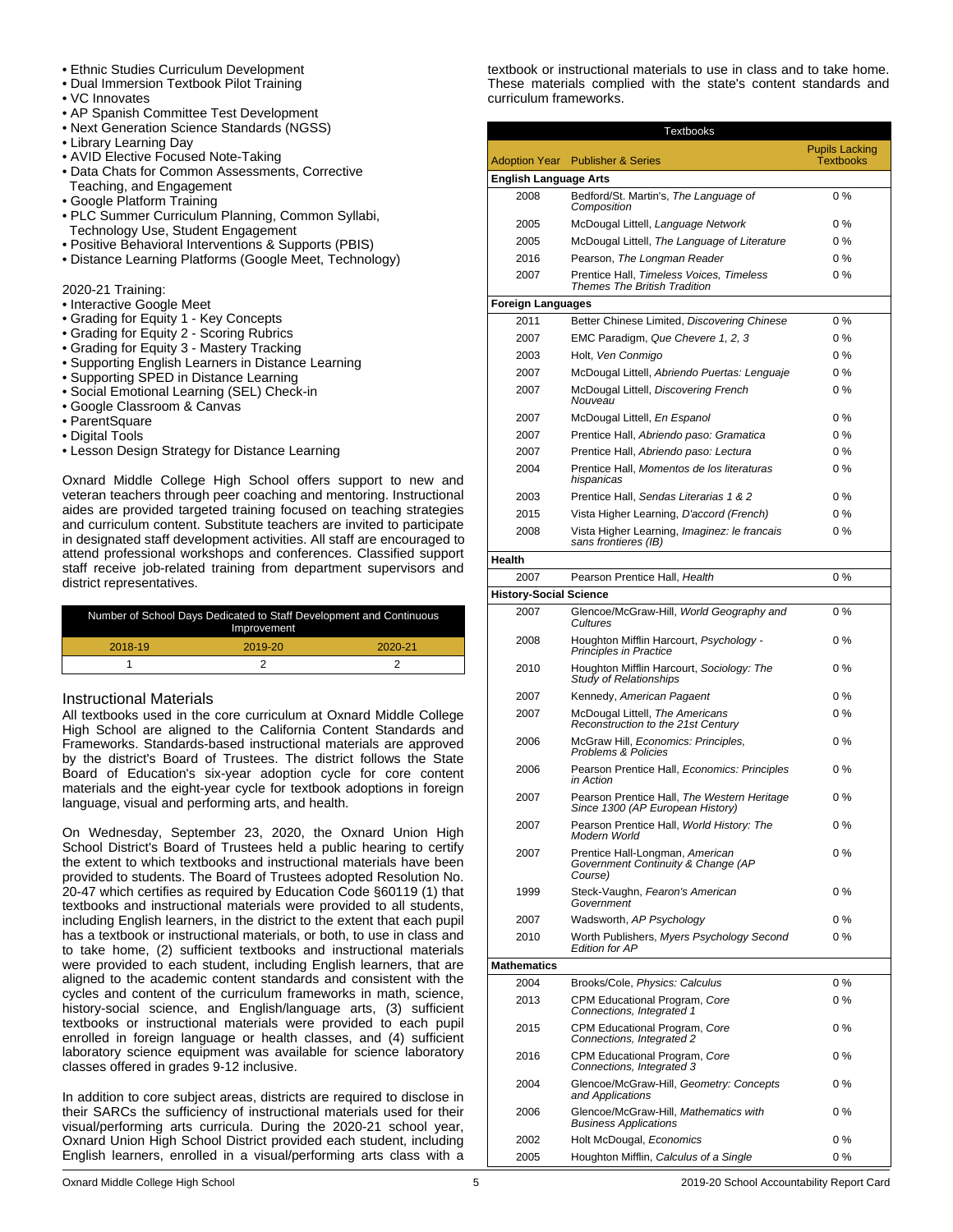#### • Ethnic Studies Curriculum Development

- Dual Immersion Textbook Pilot Training
- VC Innovates
- AP Spanish Committee Test Development
- Next Generation Science Standards (NGSS)
- Library Learning Day
- AVID Elective Focused Note-Taking
- Data Chats for Common Assessments, Corrective Teaching, and Engagement
- Google Platform Training
- PLC Summer Curriculum Planning, Common Syllabi, Technology Use, Student Engagement
- Positive Behavioral Interventions & Supports (PBIS)
- Distance Learning Platforms (Google Meet, Technology)

### 2020-21 Training:

- Interactive Google Meet
- Grading for Equity 1 Key Concepts
- Grading for Equity 2 Scoring Rubrics
- Grading for Equity 3 Mastery Tracking
- Supporting English Learners in Distance Learning
- Supporting SPED in Distance Learning
- Social Emotional Learning (SEL) Check-in
- Google Classroom & Canvas
- ParentSquare
- Digital Tools
- Lesson Design Strategy for Distance Learning

Oxnard Middle College High School offers support to new and veteran teachers through peer coaching and mentoring. Instructional aides are provided targeted training focused on teaching strategies and curriculum content. Substitute teachers are invited to participate in designated staff development activities. All staff are encouraged to attend professional workshops and conferences. Classified support staff receive job-related training from department supervisors and district representatives.

| Number of School Days Dedicated to Staff Development and Continuous<br>Improvement |         |         |
|------------------------------------------------------------------------------------|---------|---------|
| 2018-19                                                                            | 2019-20 | 2020-21 |
|                                                                                    |         |         |

### Instructional Materials

All textbooks used in the core curriculum at Oxnard Middle College High School are aligned to the California Content Standards and Frameworks. Standards-based instructional materials are approved by the district's Board of Trustees. The district follows the State Board of Education's six-year adoption cycle for core content materials and the eight-year cycle for textbook adoptions in foreign language, visual and performing arts, and health.

On Wednesday, September 23, 2020, the Oxnard Union High School District's Board of Trustees held a public hearing to certify the extent to which textbooks and instructional materials have been provided to students. The Board of Trustees adopted Resolution No. 20-47 which certifies as required by Education Code §60119 (1) that textbooks and instructional materials were provided to all students, including English learners, in the district to the extent that each pupil has a textbook or instructional materials, or both, to use in class and to take home, (2) sufficient textbooks and instructional materials were provided to each student, including English learners, that are aligned to the academic content standards and consistent with the cycles and content of the curriculum frameworks in math, science, history-social science, and English/language arts, (3) sufficient textbooks or instructional materials were provided to each pupil enrolled in foreign language or health classes, and (4) sufficient laboratory science equipment was available for science laboratory classes offered in grades 9-12 inclusive.

In addition to core subject areas, districts are required to disclose in their SARCs the sufficiency of instructional materials used for their visual/performing arts curricula. During the 2020-21 school year, Oxnard Union High School District provided each student, including English learners, enrolled in a visual/performing arts class with a

textbook or instructional materials to use in class and to take home. These materials complied with the state's content standards and curriculum frameworks.

| <b>Textbooks</b>              |                                                                                  |                       |  |
|-------------------------------|----------------------------------------------------------------------------------|-----------------------|--|
|                               |                                                                                  | <b>Pupils Lacking</b> |  |
|                               | <b>Adoption Year</b> Publisher & Series                                          | <b>Textbooks</b>      |  |
| <b>English Language Arts</b>  |                                                                                  |                       |  |
| 2008                          | Bedford/St. Martin's, The Language of<br>Composition                             | $0\%$                 |  |
| 2005                          | McDougal Littell, Language Network                                               | $0\%$                 |  |
| 2005                          | McDougal Littell, The Language of Literature                                     | $0\%$                 |  |
| 2016                          | Pearson, The Longman Reader                                                      | 0%                    |  |
| 2007                          | Prentice Hall, Timeless Voices, Timeless<br><b>Themes The British Tradition</b>  | $0\%$                 |  |
| <b>Foreign Languages</b>      |                                                                                  |                       |  |
| 2011                          | Better Chinese Limited, Discovering Chinese                                      | $0\%$                 |  |
| 2007                          | EMC Paradigm, Que Chevere 1, 2, 3                                                | $0\%$                 |  |
| 2003                          | Holt, Ven Conmigo                                                                | $0\%$                 |  |
| 2007                          | McDougal Littell, Abriendo Puertas: Lenguaje                                     | $0\%$                 |  |
| 2007                          | McDougal Littell, Discovering French<br>Nouveau                                  | $0\%$                 |  |
| 2007                          | McDougal Littell, En Espanol                                                     | $0\%$                 |  |
| 2007                          | Prentice Hall, Abriendo paso: Gramatica                                          | $0\%$                 |  |
| 2007                          | Prentice Hall, Abriendo paso: Lectura                                            | $0\%$                 |  |
| 2004                          | Prentice Hall, Momentos de los literaturas<br>hispanicas                         | $0\%$                 |  |
| 2003                          | Prentice Hall, Sendas Literarias 1 & 2                                           | $0\%$                 |  |
| 2015                          | Vista Higher Learning, D'accord (French)                                         | $0\%$                 |  |
| 2008                          | Vista Higher Learning, Imaginez: le francais                                     | 0%                    |  |
|                               | sans frontieres (IB)                                                             |                       |  |
| Health                        |                                                                                  |                       |  |
| 2007                          | Pearson Prentice Hall, Health                                                    | 0%                    |  |
| <b>History-Social Science</b> |                                                                                  |                       |  |
| 2007                          | Glencoe/McGraw-Hill, World Geography and<br>Cultures                             | $0\%$                 |  |
| 2008                          | Houghton Mifflin Harcourt, Psychology -<br><b>Principles in Practice</b>         | $0\%$                 |  |
| 2010                          | Houghton Mifflin Harcourt, Sociology: The<br><b>Study of Relationships</b>       | $0\%$                 |  |
| 2007                          | Kennedy, American Pagaent                                                        | $0\%$                 |  |
| 2007                          | McDougal Littell, The Americans<br>Reconstruction to the 21st Century            | $0\%$                 |  |
| 2006                          | McGraw Hill, Economics: Principles,<br>Problems & Policies                       | 0%                    |  |
| 2006                          | Pearson Prentice Hall, Economics: Principles<br>in Action                        | 0%                    |  |
| 2007                          | Pearson Prentice Hall, The Western Heritage<br>Since 1300 (AP European History)  | 0%                    |  |
| 2007                          | Pearson Prentice Hall, World History: The<br>Modern World                        | $0\%$                 |  |
| 2007                          | Prentice Hall-Longman, American<br>Government Continuity & Change (AP<br>Course) | 0%                    |  |
| 1999                          | Steck-Vaughn, Fearon's American<br>Government                                    | $0\%$                 |  |
| 2007                          | Wadsworth, AP Psychology                                                         | $0\%$                 |  |
| 2010                          | Worth Publishers, Myers Psychology Second<br><b>Edition for AP</b>               | $0\%$                 |  |
| <b>Mathematics</b>            |                                                                                  |                       |  |
| 2004                          | Brooks/Cole, Physics: Calculus                                                   | $0\%$                 |  |
| 2013                          | CPM Educational Program, Core<br>Connections, Integrated 1                       | $0\%$                 |  |
| 2015                          | CPM Educational Program, Core<br>Connections, Integrated 2                       | 0%                    |  |
| 2016                          | CPM Educational Program, Core<br>Connections, Integrated 3                       | 0%                    |  |
| 2004                          | Glencoe/McGraw-Hill, Geometry: Concepts<br>and Applications                      | 0%                    |  |
| 2006                          | Glencoe/McGraw-Hill, Mathematics with<br><b>Business Applications</b>            | 0%                    |  |
| 2002                          | Holt McDougal, Economics                                                         | 0%                    |  |

2005 Houghton Mifflin, *Calculus of a Single* 0 %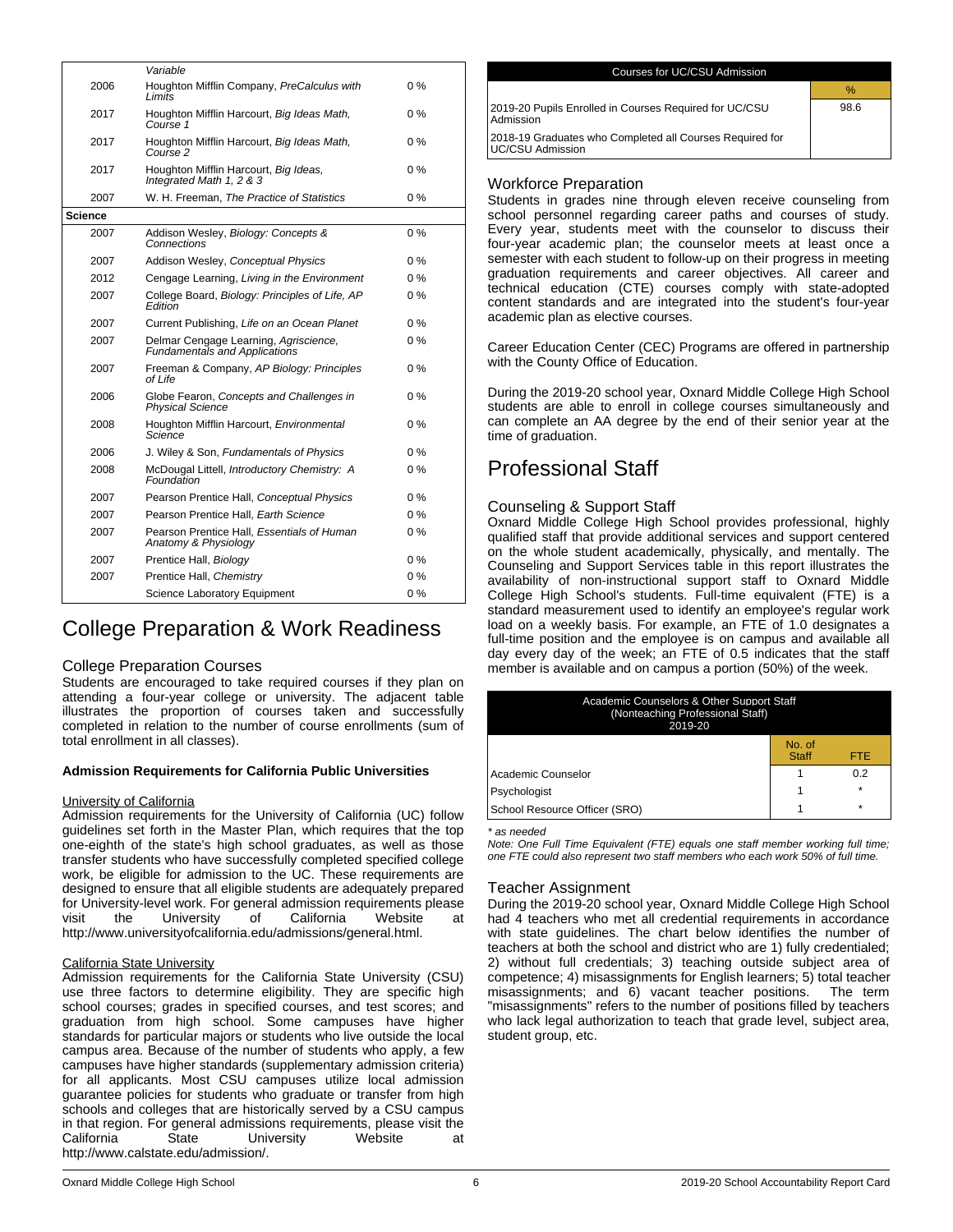|                | Variable                                                                      |       |
|----------------|-------------------------------------------------------------------------------|-------|
| 2006           | Houghton Mifflin Company, PreCalculus with<br>I imits                         | $0\%$ |
| 2017           | Houghton Mifflin Harcourt, Big Ideas Math,<br>Course 1                        | 0%    |
| 2017           | Houghton Mifflin Harcourt, Big Ideas Math,<br>Course 2                        | $0\%$ |
| 2017           | Houghton Mifflin Harcourt, Big Ideas,<br>Integrated Math 1, 2 & 3             | 0 %   |
| 2007           | W. H. Freeman, The Practice of Statistics                                     | $0\%$ |
| <b>Science</b> |                                                                               |       |
| 2007           | Addison Wesley, Biology: Concepts &<br>Connections                            | $0\%$ |
| 2007           | Addison Wesley, Conceptual Physics                                            | $0\%$ |
| 2012           | Cengage Learning, Living in the Environment                                   | $0\%$ |
| 2007           | College Board, Biology: Principles of Life, AP<br>Fdition                     | $0\%$ |
| 2007           | Current Publishing, Life on an Ocean Planet                                   | $0\%$ |
| 2007           | Delmar Cengage Learning, Agriscience,<br><b>Fundamentals and Applications</b> | $0\%$ |
| 2007           | Freeman & Company, AP Biology: Principles<br>of Life                          | $0\%$ |
| 2006           | Globe Fearon, Concepts and Challenges in<br><b>Physical Science</b>           | $0\%$ |
| 2008           | Houghton Mifflin Harcourt, Environmental<br>Science                           | $0\%$ |
| 2006           | J. Wiley & Son, Fundamentals of Physics                                       | $0\%$ |
| 2008           | McDougal Littell, Introductory Chemistry: A<br>Foundation                     | $0\%$ |
| 2007           | Pearson Prentice Hall, Conceptual Physics                                     | $0\%$ |
| 2007           | Pearson Prentice Hall, Earth Science                                          | $0\%$ |
| 2007           | Pearson Prentice Hall, Essentials of Human<br>Anatomy & Physiology            | $0\%$ |
| 2007           | Prentice Hall, Biology                                                        | $0\%$ |
| 2007           | Prentice Hall, Chemistry                                                      | $0\%$ |
|                | Science Laboratory Equipment                                                  | $0\%$ |

## College Preparation & Work Readiness

#### College Preparation Courses

Students are encouraged to take required courses if they plan on attending a four-year college or university. The adjacent table illustrates the proportion of courses taken and successfully completed in relation to the number of course enrollments (sum of total enrollment in all classes).

#### **Admission Requirements for California Public Universities**

#### University of California

Admission requirements for the University of California (UC) follow guidelines set forth in the Master Plan, which requires that the top one-eighth of the state's high school graduates, as well as those transfer students who have successfully completed specified college work, be eligible for admission to the UC. These requirements are designed to ensure that all eligible students are adequately prepared for University-level work. For general admission requirements please visit the University of California Website at http://www.universityofcalifornia.edu/admissions/general.html.

#### California State University

Admission requirements for the California State University (CSU) use three factors to determine eligibility. They are specific high school courses; grades in specified courses, and test scores; and graduation from high school. Some campuses have higher standards for particular majors or students who live outside the local campus area. Because of the number of students who apply, a few campuses have higher standards (supplementary admission criteria) for all applicants. Most CSU campuses utilize local admission guarantee policies for students who graduate or transfer from high schools and colleges that are historically served by a CSU campus in that region. For general admissions requirements, please visit the<br>California Catate University Website at California State University Website at http://www.calstate.edu/admission/.

| Courses for UC/CSU Admission                                                        |      |
|-------------------------------------------------------------------------------------|------|
|                                                                                     | $\%$ |
| 2019-20 Pupils Enrolled in Courses Required for UC/CSU<br>Admission                 | 98.6 |
| 2018-19 Graduates who Completed all Courses Required for<br><b>UC/CSU Admission</b> |      |
|                                                                                     |      |

### Workforce Preparation

Students in grades nine through eleven receive counseling from school personnel regarding career paths and courses of study. Every year, students meet with the counselor to discuss their four-year academic plan; the counselor meets at least once a semester with each student to follow-up on their progress in meeting graduation requirements and career objectives. All career and technical education (CTE) courses comply with state-adopted content standards and are integrated into the student's four-year academic plan as elective courses.

Career Education Center (CEC) Programs are offered in partnership with the County Office of Education.

During the 2019-20 school year, Oxnard Middle College High School students are able to enroll in college courses simultaneously and can complete an AA degree by the end of their senior year at the time of graduation.

## Professional Staff

#### Counseling & Support Staff

Oxnard Middle College High School provides professional, highly qualified staff that provide additional services and support centered on the whole student academically, physically, and mentally. The Counseling and Support Services table in this report illustrates the availability of non-instructional support staff to Oxnard Middle College High School's students. Full-time equivalent (FTE) is a standard measurement used to identify an employee's regular work load on a weekly basis. For example, an FTE of 1.0 designates a full-time position and the employee is on campus and available all day every day of the week; an FTE of 0.5 indicates that the staff member is available and on campus a portion (50%) of the week.

| <b>Academic Counselors &amp; Other Support Staff</b><br>(Nonteaching Professional Staff)<br>2019-20 |                        |     |  |
|-----------------------------------------------------------------------------------------------------|------------------------|-----|--|
|                                                                                                     | No. of<br><b>Staff</b> | FTE |  |
| Academic Counselor                                                                                  |                        | 0.2 |  |
| Psychologist                                                                                        |                        |     |  |
| School Resource Officer (SRO)                                                                       |                        | ÷   |  |

*\* as needed*

*Note: One Full Time Equivalent (FTE) equals one staff member working full time; one FTE could also represent two staff members who each work 50% of full time.*

#### Teacher Assignment

During the 2019-20 school year, Oxnard Middle College High School had 4 teachers who met all credential requirements in accordance with state guidelines. The chart below identifies the number of teachers at both the school and district who are 1) fully credentialed; 2) without full credentials; 3) teaching outside subject area of competence; 4) misassignments for English learners; 5) total teacher misassignments; and  $\overline{6}$ ) vacant teacher positions. "misassignments" refers to the number of positions filled by teachers who lack legal authorization to teach that grade level, subject area, student group, etc.